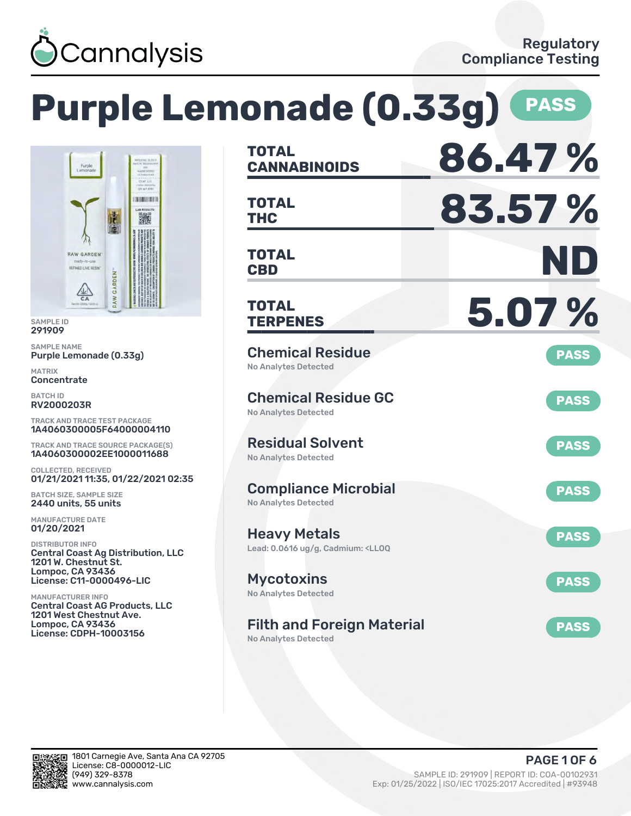

# **Purple Lemonade (0.33g) PASS**



SAMPLE ID 291909

SAMPLE NAME Purple Lemonade (0.33g)

MATRIX **Concentrate** 

BATCH ID RV2000203R

TRACK AND TRACE TEST PACKAGE 1A4060300005F64000004110

TRACK AND TRACE SOURCE PACKAGE(S) 1A4060300002EE1000011688

COLLECTED, RECEIVED 01/21/2021 11:35, 01/22/2021 02:35

BATCH SIZE, SAMPLE SIZE 2440 units, 55 units

MANUFACTURE DATE 01/20/2021

DISTRIBUTOR INFO Central Coast Ag Distribution, LLC 1201 W. Chestnut St. Lompoc, CA 93436 License: C11-0000496-LIC

MANUFACTURER INFO Central Coast AG Products, LLC 1201 West Chestnut Ave. Lompoc, CA 93436 License: CDPH-10003156

| <b>TOTAL</b><br><b>CANNABINOIDS</b>                                                          | 86.47%      |
|----------------------------------------------------------------------------------------------|-------------|
| <b>TOTAL</b><br><b>THC</b>                                                                   | 83.57%      |
| <b>TOTAL</b><br><b>CBD</b>                                                                   | ND          |
| <b>TOTAL</b><br><b>TERPENES</b>                                                              | 5.07%       |
| <b>Chemical Residue</b><br><b>No Analytes Detected</b>                                       | <b>PASS</b> |
| <b>Chemical Residue GC</b><br><b>No Analytes Detected</b>                                    | <b>PASS</b> |
| <b>Residual Solvent</b><br><b>No Analytes Detected</b>                                       | <b>PASS</b> |
| <b>Compliance Microbial</b><br><b>No Analytes Detected</b>                                   | <b>PASS</b> |
| <b>Heavy Metals</b><br>Lead: 0.0616 ug/g, Cadmium: <ll0q< td=""><td><b>PASS</b></td></ll0q<> | <b>PASS</b> |
| <b>Mycotoxins</b><br>No Analytes Detected                                                    | <b>PASS</b> |
| <b>Filth and Foreign Material</b><br><b>No Analytes Detected</b>                             | <b>PASS</b> |

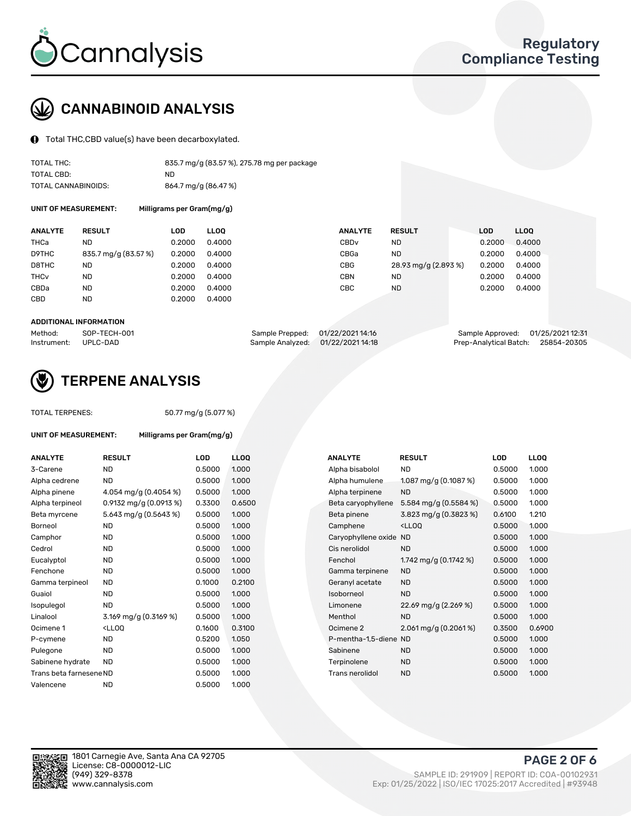

## CANNABINOID ANALYSIS

Total THC,CBD value(s) have been decarboxylated.

| TOTAL THC:          | 835.7 mg/g (83.57%), 275.78 mg per package |
|---------------------|--------------------------------------------|
| TOTAL CBD:          | ND.                                        |
| TOTAL CANNABINOIDS: | 864.7 mg/g (86.47 %)                       |

UNIT OF MEASUREMENT: Milligrams per Gram(mg/g)

| <b>ANALYTE</b>         | <b>RESULT</b>        | LOD    | <b>LLOO</b> | <b>ANALYTE</b>   | <b>RESULT</b>        | <b>LOD</b> | <b>LLOO</b> |
|------------------------|----------------------|--------|-------------|------------------|----------------------|------------|-------------|
| THCa                   | ND                   | 0.2000 | 0.4000      | CBD <sub>v</sub> | ND                   | 0.2000     | 0.4000      |
| D9THC                  | 835.7 mg/g (83.57 %) | 0.2000 | 0.4000      | CBGa             | <b>ND</b>            | 0.2000     | 0.4000      |
| D8THC                  | ND                   | 0.2000 | 0.4000      | <b>CBG</b>       | 28.93 mg/g (2.893 %) | 0.2000     | 0.4000      |
| <b>THC<sub>v</sub></b> | <b>ND</b>            | 0.2000 | 0.4000      | CBN              | <b>ND</b>            | 0.2000     | 0.4000      |
| CBDa                   | <b>ND</b>            | 0.2000 | 0.4000      | CBC              | ND                   | 0.2000     | 0.4000      |
| CBD                    | ND                   | 0.2000 | 0.4000      |                  |                      |            |             |
|                        |                      |        |             |                  |                      |            |             |

#### ADDITIONAL INFORMATION

| Method:              | SOP-TECH-001 | Sample Prepped: 01/22/2021 14:16  | Sample Approved: 01/25/2021 12:31  |  |
|----------------------|--------------|-----------------------------------|------------------------------------|--|
| Instrument: UPLC-DAD |              | Sample Analyzed: 01/22/2021 14:18 | Prep-Analytical Batch: 25854-20305 |  |



## TERPENE ANALYSIS

UNIT OF MEASUREMENT: Milligrams per Gram(mg/g)

| TUTAL TERPENES: |  |
|-----------------|--|
|                 |  |

 $TAL$  TERPENES:  $50.77 \text{ mg/g} (5.077 \text{ %})$ 

| <b>ANALYTE</b>          | <b>RESULT</b>                                                                                                                                                     | <b>LOD</b> | <b>LLOO</b> |  | <b>ANALYTE</b>         | <b>RESULT</b>                     | <b>LOD</b> | <b>LLOO</b> |
|-------------------------|-------------------------------------------------------------------------------------------------------------------------------------------------------------------|------------|-------------|--|------------------------|-----------------------------------|------------|-------------|
| 3-Carene                | <b>ND</b>                                                                                                                                                         | 0.5000     | 1.000       |  | Alpha bisabolol        | <b>ND</b>                         | 0.5000     | 1.000       |
| Alpha cedrene           | <b>ND</b>                                                                                                                                                         | 0.5000     | 1.000       |  | Alpha humulene         | 1.087 mg/g $(0.1087%)$            | 0.5000     | 1.000       |
| Alpha pinene            | 4.054 mg/g (0.4054 %)                                                                                                                                             | 0.5000     | 1.000       |  | Alpha terpinene        | <b>ND</b>                         | 0.5000     | 1.000       |
| Alpha terpineol         | 0.9132 mg/g $(0.0913\%)$                                                                                                                                          | 0.3300     | 0.6500      |  | Beta caryophyllene     | 5.584 mg/g (0.5584 %)             | 0.5000     | 1.000       |
| Beta myrcene            | 5.643 mg/g (0.5643 %)                                                                                                                                             | 0.5000     | 1.000       |  | Beta pinene            | 3.823 mg/g (0.3823 %)             | 0.6100     | 1.210       |
| Borneol                 | <b>ND</b>                                                                                                                                                         | 0.5000     | 1.000       |  | Camphene               | $<$ LLOO                          | 0.5000     | 1.000       |
| Camphor                 | <b>ND</b>                                                                                                                                                         | 0.5000     | 1.000       |  | Caryophyllene oxide ND |                                   | 0.5000     | 1.000       |
| Cedrol                  | <b>ND</b>                                                                                                                                                         | 0.5000     | 1.000       |  | Cis nerolidol          | <b>ND</b>                         | 0.5000     | 1.000       |
| Eucalyptol              | <b>ND</b>                                                                                                                                                         | 0.5000     | 1.000       |  | Fenchol                | 1.742 mg/g $(0.1742 \%)$          | 0.5000     | 1.000       |
| Fenchone                | <b>ND</b>                                                                                                                                                         | 0.5000     | 1.000       |  | Gamma terpinene        | <b>ND</b>                         | 0.5000     | 1.000       |
| Gamma terpineol         | ND.                                                                                                                                                               | 0.1000     | 0.2100      |  | Geranyl acetate        | <b>ND</b>                         | 0.5000     | 1.000       |
| Guaiol                  | <b>ND</b>                                                                                                                                                         | 0.5000     | 1.000       |  | Isoborneol             | <b>ND</b>                         | 0.5000     | 1.000       |
| Isopulegol              | <b>ND</b>                                                                                                                                                         | 0.5000     | 1.000       |  | Limonene               | 22.69 mg/g (2.269 %)              | 0.5000     | 1.000       |
| Linalool                | 3.169 mg/g (0.3169 %)                                                                                                                                             | 0.5000     | 1.000       |  | Menthol                | <b>ND</b>                         | 0.5000     | 1.000       |
| Ocimene 1               | <lloq< td=""><td>0.1600</td><td>0.3100</td><td></td><td>Ocimene 2</td><td><math>2.061 \,\mathrm{mg/g}</math> (0.2061%)</td><td>0.3500</td><td>0.6900</td></lloq<> | 0.1600     | 0.3100      |  | Ocimene 2              | $2.061 \,\mathrm{mg/g}$ (0.2061%) | 0.3500     | 0.6900      |
| P-cymene                | <b>ND</b>                                                                                                                                                         | 0.5200     | 1.050       |  | P-mentha-1.5-diene ND  |                                   | 0.5000     | 1.000       |
| Pulegone                | <b>ND</b>                                                                                                                                                         | 0.5000     | 1.000       |  | Sabinene               | <b>ND</b>                         | 0.5000     | 1.000       |
| Sabinene hydrate        | <b>ND</b>                                                                                                                                                         | 0.5000     | 1.000       |  | Terpinolene            | <b>ND</b>                         | 0.5000     | 1.000       |
| Trans beta farnesene ND |                                                                                                                                                                   | 0.5000     | 1.000       |  | <b>Trans nerolidol</b> | <b>ND</b>                         | 0.5000     | 1.000       |
| Valencene               | <b>ND</b>                                                                                                                                                         | 0.5000     | 1.000       |  |                        |                                   |            |             |

| <b>\NALYTE</b>         | <b>RESULT</b>                     | LOD    | <b>LLOO</b> |
|------------------------|-----------------------------------|--------|-------------|
| Alpha bisabolol        | <b>ND</b>                         | 0.5000 | 1.000       |
| Alpha humulene         | 1.087 mg/g $(0.1087%)$            | 0.5000 | 1.000       |
| Alpha terpinene        | <b>ND</b>                         | 0.5000 | 1.000       |
| Beta caryophyllene     | 5.584 mg/g (0.5584 %)             | 0.5000 | 1.000       |
| Beta pinene            | 3.823 mg/g (0.3823 %)             | 0.6100 | 1.210       |
| Camphene               | $<$ LLOO                          | 0.5000 | 1.000       |
| Caryophyllene oxide ND |                                   | 0.5000 | 1.000       |
| Cis nerolidol          | <b>ND</b>                         | 0.5000 | 1.000       |
| Fenchol                | 1.742 mg/g $(0.1742 \%)$          | 0.5000 | 1.000       |
| Gamma terpinene        | <b>ND</b>                         | 0.5000 | 1.000       |
| Geranyl acetate        | <b>ND</b>                         | 0.5000 | 1.000       |
| soborneol              | <b>ND</b>                         | 0.5000 | 1.000       |
| Limonene               | 22.69 mg/g (2.269 %)              | 0.5000 | 1.000       |
| Menthol                | <b>ND</b>                         | 0.5000 | 1.000       |
| Ocimene 2              | $2.061 \,\mathrm{mg/g}$ (0.2061%) | 0.3500 | 0.6900      |
| P-mentha-1,5-diene ND  |                                   | 0.5000 | 1.000       |
| Sabinene               | <b>ND</b>                         | 0.5000 | 1.000       |
| Terpinolene            | <b>ND</b>                         | 0.5000 | 1.000       |
| Trans nerolidol        | <b>ND</b>                         | 0.5000 | 1.000       |
|                        |                                   |        |             |

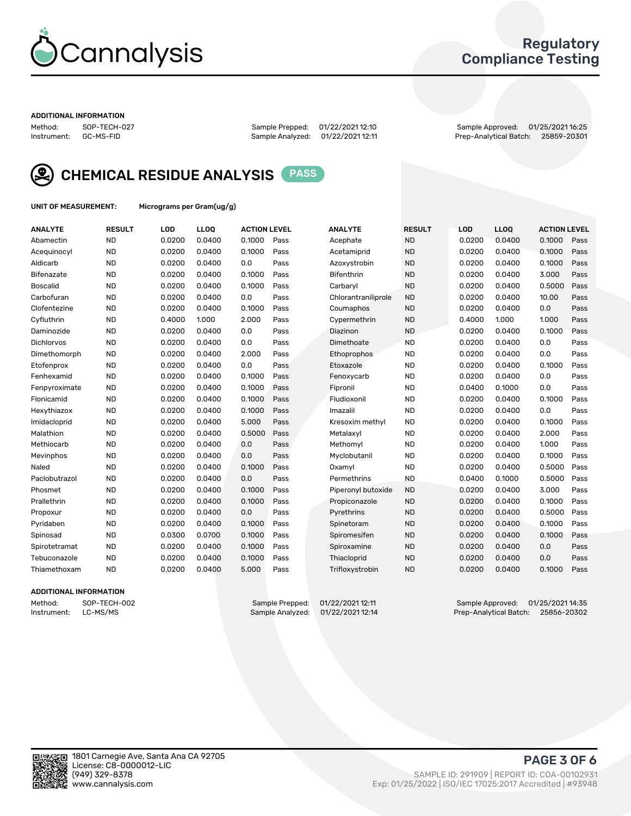

## Regulatory Compliance Testing

#### ADDITIONAL INFORMATION

Method: SOP-TECH-027 Sample Prepped: 01/22/2021 12:10 Sample Approved: 01/25/2021 16:25 Prep-Analytical Batch: 25859-20301



CHEMICAL RESIDUE ANALYSIS PASS



UNIT OF MEASUREMENT: Micrograms per Gram(ug/g)

| <b>ANALYTE</b>  | <b>RESULT</b> | LOD    | <b>LLOQ</b> | <b>ACTION LEVEL</b> |      | <b>ANALYTE</b>      | <b>RESULT</b> | LOD    | <b>LLOQ</b> | <b>ACTION LEVEL</b> |      |
|-----------------|---------------|--------|-------------|---------------------|------|---------------------|---------------|--------|-------------|---------------------|------|
| Abamectin       | <b>ND</b>     | 0.0200 | 0.0400      | 0.1000              | Pass | Acephate            | <b>ND</b>     | 0.0200 | 0.0400      | 0.1000              | Pass |
| Acequinocyl     | <b>ND</b>     | 0.0200 | 0.0400      | 0.1000              | Pass | Acetamiprid         | <b>ND</b>     | 0.0200 | 0.0400      | 0.1000              | Pass |
| Aldicarb        | <b>ND</b>     | 0.0200 | 0.0400      | 0.0                 | Pass | Azoxystrobin        | <b>ND</b>     | 0.0200 | 0.0400      | 0.1000              | Pass |
| Bifenazate      | <b>ND</b>     | 0.0200 | 0.0400      | 0.1000              | Pass | <b>Bifenthrin</b>   | <b>ND</b>     | 0.0200 | 0.0400      | 3.000               | Pass |
| <b>Boscalid</b> | <b>ND</b>     | 0.0200 | 0.0400      | 0.1000              | Pass | Carbarvl            | <b>ND</b>     | 0.0200 | 0.0400      | 0.5000              | Pass |
| Carbofuran      | <b>ND</b>     | 0.0200 | 0.0400      | 0.0                 | Pass | Chlorantraniliprole | <b>ND</b>     | 0.0200 | 0.0400      | 10.00               | Pass |
| Clofentezine    | <b>ND</b>     | 0.0200 | 0.0400      | 0.1000              | Pass | Coumaphos           | <b>ND</b>     | 0.0200 | 0.0400      | 0.0                 | Pass |
| Cyfluthrin      | <b>ND</b>     | 0.4000 | 1.000       | 2.000               | Pass | Cypermethrin        | <b>ND</b>     | 0.4000 | 1.000       | 1.000               | Pass |
| Daminozide      | <b>ND</b>     | 0.0200 | 0.0400      | 0.0                 | Pass | Diazinon            | <b>ND</b>     | 0.0200 | 0.0400      | 0.1000              | Pass |
| Dichlorvos      | <b>ND</b>     | 0.0200 | 0.0400      | 0.0                 | Pass | Dimethoate          | <b>ND</b>     | 0.0200 | 0.0400      | 0.0                 | Pass |
| Dimethomorph    | <b>ND</b>     | 0.0200 | 0.0400      | 2.000               | Pass | Ethoprophos         | <b>ND</b>     | 0.0200 | 0.0400      | 0.0                 | Pass |
| Etofenprox      | <b>ND</b>     | 0.0200 | 0.0400      | 0.0                 | Pass | Etoxazole           | <b>ND</b>     | 0.0200 | 0.0400      | 0.1000              | Pass |
| Fenhexamid      | <b>ND</b>     | 0.0200 | 0.0400      | 0.1000              | Pass | Fenoxycarb          | <b>ND</b>     | 0.0200 | 0.0400      | 0.0                 | Pass |
| Fenpyroximate   | <b>ND</b>     | 0.0200 | 0.0400      | 0.1000              | Pass | Fipronil            | <b>ND</b>     | 0.0400 | 0.1000      | 0.0                 | Pass |
| Flonicamid      | <b>ND</b>     | 0.0200 | 0.0400      | 0.1000              | Pass | Fludioxonil         | <b>ND</b>     | 0.0200 | 0.0400      | 0.1000              | Pass |
| Hexythiazox     | <b>ND</b>     | 0.0200 | 0.0400      | 0.1000              | Pass | Imazalil            | <b>ND</b>     | 0.0200 | 0.0400      | 0.0                 | Pass |
| Imidacloprid    | <b>ND</b>     | 0.0200 | 0.0400      | 5.000               | Pass | Kresoxim methyl     | <b>ND</b>     | 0.0200 | 0.0400      | 0.1000              | Pass |
| Malathion       | <b>ND</b>     | 0.0200 | 0.0400      | 0.5000              | Pass | Metalaxyl           | <b>ND</b>     | 0.0200 | 0.0400      | 2.000               | Pass |
| Methiocarb      | <b>ND</b>     | 0.0200 | 0.0400      | 0.0                 | Pass | Methomyl            | <b>ND</b>     | 0.0200 | 0.0400      | 1.000               | Pass |
| Mevinphos       | <b>ND</b>     | 0.0200 | 0.0400      | 0.0                 | Pass | Myclobutanil        | <b>ND</b>     | 0.0200 | 0.0400      | 0.1000              | Pass |
| Naled           | <b>ND</b>     | 0.0200 | 0.0400      | 0.1000              | Pass | Oxamyl              | <b>ND</b>     | 0.0200 | 0.0400      | 0.5000              | Pass |
| Paclobutrazol   | <b>ND</b>     | 0.0200 | 0.0400      | 0.0                 | Pass | Permethrins         | <b>ND</b>     | 0.0400 | 0.1000      | 0.5000              | Pass |
| Phosmet         | <b>ND</b>     | 0.0200 | 0.0400      | 0.1000              | Pass | Piperonyl butoxide  | <b>ND</b>     | 0.0200 | 0.0400      | 3.000               | Pass |
| Prallethrin     | <b>ND</b>     | 0.0200 | 0.0400      | 0.1000              | Pass | Propiconazole       | <b>ND</b>     | 0.0200 | 0.0400      | 0.1000              | Pass |
| Propoxur        | <b>ND</b>     | 0.0200 | 0.0400      | 0.0                 | Pass | Pyrethrins          | <b>ND</b>     | 0.0200 | 0.0400      | 0.5000              | Pass |
| Pyridaben       | <b>ND</b>     | 0.0200 | 0.0400      | 0.1000              | Pass | Spinetoram          | <b>ND</b>     | 0.0200 | 0.0400      | 0.1000              | Pass |
| Spinosad        | <b>ND</b>     | 0.0300 | 0.0700      | 0.1000              | Pass | Spiromesifen        | <b>ND</b>     | 0.0200 | 0.0400      | 0.1000              | Pass |
| Spirotetramat   | <b>ND</b>     | 0.0200 | 0.0400      | 0.1000              | Pass | Spiroxamine         | <b>ND</b>     | 0.0200 | 0.0400      | 0.0                 | Pass |
| Tebuconazole    | <b>ND</b>     | 0.0200 | 0.0400      | 0.1000              | Pass | Thiacloprid         | <b>ND</b>     | 0.0200 | 0.0400      | 0.0                 | Pass |
| Thiamethoxam    | <b>ND</b>     | 0.0200 | 0.0400      | 5.000               | Pass | Trifloxystrobin     | <b>ND</b>     | 0.0200 | 0.0400      | 0.1000              | Pass |
|                 |               |        |             |                     |      |                     |               |        |             |                     |      |

#### ADDITIONAL INFORMATION

Method: SOP-TECH-002 Sample Prepped: 01/22/2021 12:11 Sample Approved: 01/25/2021 14:35<br>Instrument: LC-MS/MS Sample Analyzed: 01/22/2021 12:14 Prep-Analytical Batch: 25856-20302 Prep-Analytical Batch: 25856-20302

PAGE 3 OF 6

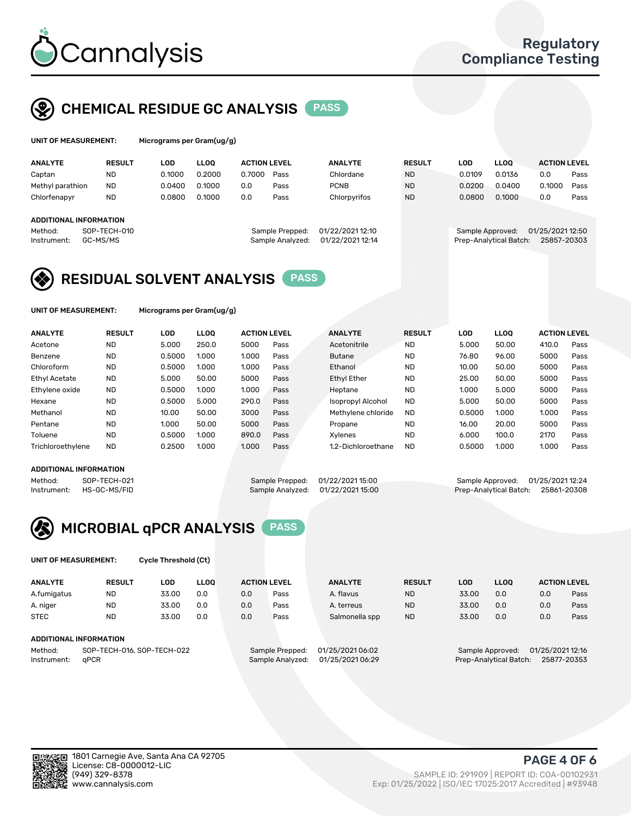

## CHEMICAL RESIDUE GC ANALYSIS PASS

| UNIT OF MEASUREMENT: |               | Micrograms per Gram(ug/g) |      |                     |                |               |     |             |                     |
|----------------------|---------------|---------------------------|------|---------------------|----------------|---------------|-----|-------------|---------------------|
| <b>ANALYTE</b>       | <b>RESULT</b> | LOD                       | LOO. | <b>ACTION LEVEL</b> | <b>ANALYTE</b> | <b>RESULT</b> | LOD | <b>LLOO</b> | <b>ACTION LEVEL</b> |

| 0.2000<br><b>ND</b><br>0.1000<br>0.7000<br><b>ND</b><br>0.0109<br>0.0136<br>Captan<br>Chlordane<br>Pass<br>0.1000<br><b>ND</b><br>0.0400<br>0.0400<br><b>PCNB</b><br>Methyl parathion<br><b>ND</b><br>0.0200<br>0.0<br>Pass<br>0.1000<br>0.0800<br>0.1000<br>Chlorfenapyr<br><b>ND</b><br>0.0800<br>Chlorpyrifos<br><b>ND</b><br>0.0<br>Pass<br>ADDITIONAL INFORMATION<br>01/22/2021 12:10<br>SOP-TECH-010<br>Method:<br>Sample Prepped:<br>Sample Approved: | ---<br>-----------                                        |
|--------------------------------------------------------------------------------------------------------------------------------------------------------------------------------------------------------------------------------------------------------------------------------------------------------------------------------------------------------------------------------------------------------------------------------------------------------------|-----------------------------------------------------------|
|                                                                                                                                                                                                                                                                                                                                                                                                                                                              | 0.0<br>Pass                                               |
|                                                                                                                                                                                                                                                                                                                                                                                                                                                              | 0.1000<br>Pass                                            |
|                                                                                                                                                                                                                                                                                                                                                                                                                                                              | 0.0<br>Pass                                               |
|                                                                                                                                                                                                                                                                                                                                                                                                                                                              |                                                           |
| 01/22/2021 12:14<br>GC-MS/MS<br>Sample Analyzed:<br>Instrument:                                                                                                                                                                                                                                                                                                                                                                                              | 01/25/2021 12:50<br>25857-20303<br>Prep-Analytical Batch: |

## RESIDUAL SOLVENT ANALYSIS PASS

UNIT OF MEASUREMENT: Micrograms per Gram(ug/g)

| <b>ANALYTE</b>       | <b>RESULT</b> | LOD    | <b>LLOO</b> | <b>ACTION LEVEL</b> |      | <b>ANALYTE</b>           | <b>RESULT</b> | <b>LOD</b> | <b>LLOO</b> | <b>ACTION LEVEL</b> |      |
|----------------------|---------------|--------|-------------|---------------------|------|--------------------------|---------------|------------|-------------|---------------------|------|
| Acetone              | <b>ND</b>     | 5.000  | 250.0       | 5000                | Pass | Acetonitrile             | <b>ND</b>     | 5.000      | 50.00       | 410.0               | Pass |
| Benzene              | <b>ND</b>     | 0.5000 | 1.000       | 1.000               | Pass | <b>Butane</b>            | <b>ND</b>     | 76.80      | 96.00       | 5000                | Pass |
| Chloroform           | <b>ND</b>     | 0.5000 | 1.000       | 1.000               | Pass | Ethanol                  | <b>ND</b>     | 10.00      | 50.00       | 5000                | Pass |
| <b>Ethyl Acetate</b> | <b>ND</b>     | 5.000  | 50.00       | 5000                | Pass | <b>Ethyl Ether</b>       | <b>ND</b>     | 25.00      | 50.00       | 5000                | Pass |
| Ethylene oxide       | <b>ND</b>     | 0.5000 | 1.000       | 1.000               | Pass | Heptane                  | <b>ND</b>     | 1.000      | 5.000       | 5000                | Pass |
| Hexane               | <b>ND</b>     | 0.5000 | 5.000       | 290.0               | Pass | <b>Isopropyl Alcohol</b> | <b>ND</b>     | 5.000      | 50.00       | 5000                | Pass |
| Methanol             | <b>ND</b>     | 10.00  | 50.00       | 3000                | Pass | Methylene chloride       | <b>ND</b>     | 0.5000     | 1.000       | 1.000               | Pass |
| Pentane              | <b>ND</b>     | 1.000  | 50.00       | 5000                | Pass | Propane                  | <b>ND</b>     | 16.00      | 20.00       | 5000                | Pass |
| Toluene              | <b>ND</b>     | 0.5000 | 1.000       | 890.0               | Pass | Xvlenes                  | <b>ND</b>     | 6.000      | 100.0       | 2170                | Pass |
| Trichloroethylene    | <b>ND</b>     | 0.2500 | 1.000       | 1.000               | Pass | 1.2-Dichloroethane       | <b>ND</b>     | 0.5000     | 1.000       | 1.000               | Pass |

#### ADDITIONAL INFORMATION

Method: SOP-TECH-021 Sample Prepped: 01/22/2021 15:00 Sample Approved: 01/25/2021 12:24<br>Instrument: HS-GC-MS/FID Sample Analyzed: 01/22/2021 15:00 Prep-Analytical Batch: 25861-20308 Prep-Analytical Batch: 25861-20308



UNIT OF MEASUREMENT: Cycle Threshold (Ct)

| <b>ANALYTE</b> | <b>RESULT</b>                 | LOD   | <b>LLOO</b> |     | <b>ACTION LEVEL</b> | <b>ANALYTE</b>   | <b>RESULT</b> | <b>LOD</b> | <b>LLOO</b>      |                  | <b>ACTION LEVEL</b> |
|----------------|-------------------------------|-------|-------------|-----|---------------------|------------------|---------------|------------|------------------|------------------|---------------------|
| A.fumigatus    | <b>ND</b>                     | 33.00 | 0.0         | 0.0 | Pass                | A. flavus        | <b>ND</b>     | 33.00      | 0.0              | 0.0              | Pass                |
| A. niger       | <b>ND</b>                     | 33.00 | 0.0         | 0.0 | Pass                | A. terreus       | <b>ND</b>     | 33.00      | 0.0              | 0.0              | Pass                |
| <b>STEC</b>    | <b>ND</b>                     | 33.00 | 0.0         | 0.0 | Pass                | Salmonella spp   | <b>ND</b>     | 33.00      | 0.0              | 0.0              | Pass                |
|                | <b>ADDITIONAL INFORMATION</b> |       |             |     |                     |                  |               |            |                  |                  |                     |
| Method:        | SOP-TECH-016, SOP-TECH-022    |       |             |     | Sample Prepped:     | 01/25/2021 06:02 |               |            | Sample Approved: | 01/25/2021 12:16 |                     |

Instrument: qPCR Sample Analyzed: 01/25/2021 06:29 Prep-Analytical Batch: 25877-20353

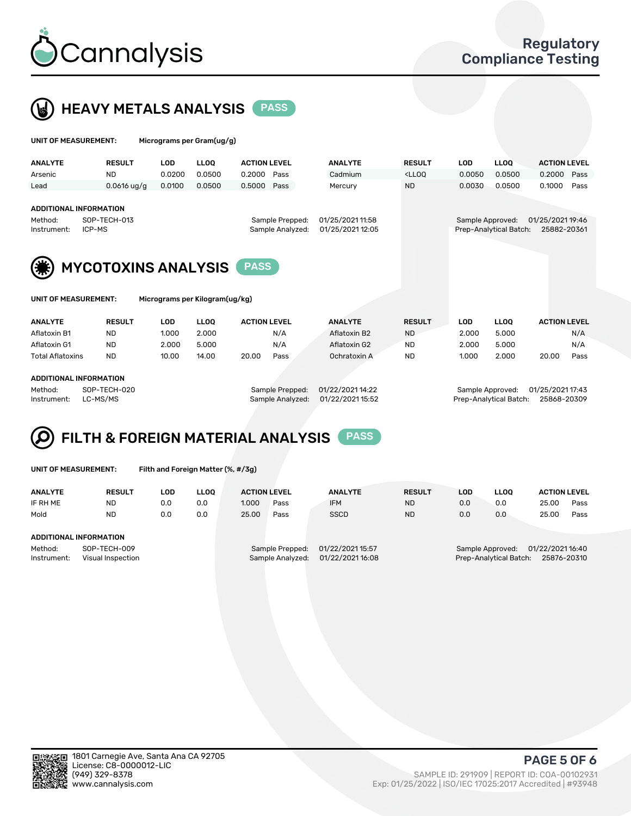



| UNIT OF MEASUREMENT:   |                                                         | Micrograms per Gram(ug/g) |             |                     |                                     |                                      |                                                                                 |                  |                        |                                 |      |
|------------------------|---------------------------------------------------------|---------------------------|-------------|---------------------|-------------------------------------|--------------------------------------|---------------------------------------------------------------------------------|------------------|------------------------|---------------------------------|------|
| <b>ANALYTE</b>         | <b>RESULT</b>                                           | <b>LOD</b>                | <b>LLOO</b> | <b>ACTION LEVEL</b> |                                     | <b>ANALYTE</b>                       | <b>RESULT</b>                                                                   | <b>LOD</b>       | <b>LLOO</b>            | <b>ACTION LEVEL</b>             |      |
| Arsenic                | ND.                                                     | 0.0200                    | 0.0500      | 0.2000              | Pass                                | Cadmium                              | <lloo< td=""><td>0.0050</td><td>0.0500</td><td>0.2000</td><td>Pass</td></lloo<> | 0.0050           | 0.0500                 | 0.2000                          | Pass |
| Lead                   | $0.0616$ ug/g                                           | 0.0100                    | 0.0500      | 0.5000              | Pass                                | Mercury                              | <b>ND</b>                                                                       | 0.0030           | 0.0500                 | 0.1000                          | Pass |
| Method:<br>Instrument: | <b>ADDITIONAL INFORMATION</b><br>SOP-TECH-013<br>ICP-MS |                           |             |                     | Sample Prepped:<br>Sample Analyzed: | 01/25/2021 11:58<br>01/25/2021 12:05 |                                                                                 | Sample Approved: | Prep-Analytical Batch: | 01/25/2021 19:46<br>25882-20361 |      |
|                        | <b>MYCOTOXINS ANALYSIS</b>                              |                           |             | <b>PASS</b>         |                                     |                                      |                                                                                 |                  |                        |                                 |      |



UNIT OF MEASUREMENT: Micrograms per Kilogram(ug/kg)

| <b>ANALYTE</b>          | <b>RESULT</b> | LOD<br><b>LLOO</b> |       | <b>ACTION LEVEL</b> |      | <b>ANALYTE</b> | <b>RESULT</b> | LOD   | <b>LLOO</b> | <b>ACTION LEVEL</b> |      |
|-------------------------|---------------|--------------------|-------|---------------------|------|----------------|---------------|-------|-------------|---------------------|------|
|                         |               |                    |       |                     |      |                |               |       |             |                     |      |
| Aflatoxin B1            | <b>ND</b>     | 1.000              | 2.000 |                     | N/A  | Aflatoxin B2   | <b>ND</b>     | 2.000 | 5.000       |                     | N/A  |
| Aflatoxin G1            | <b>ND</b>     | 2.000              | 5.000 |                     | N/A  | Aflatoxin G2   | <b>ND</b>     | 2.000 | 5.000       |                     | N/A  |
| <b>Total Aflatoxins</b> | <b>ND</b>     | 10.00              | 14.00 | 20.00               | Pass | Ochratoxin A   | <b>ND</b>     | 1.000 | 2.000       | 20.00               | Pass |
|                         |               |                    |       |                     |      |                |               |       |             |                     |      |
| ADDITIONAL INFODMATION  |               |                    |       |                     |      |                |               |       |             |                     |      |

#### ADDITIONAL INFORMATION

Method: SOP-TECH-020 Sample Prepped: 01/22/2021 14:22 Sample Approved: 01/25/2021 17:43 Instrument: LC-MS/MS Sample Analyzed: 01/22/2021 15:52 Prep-Analytical Batch: 25868-20309

## FILTH & FOREIGN MATERIAL ANALYSIS PASS

UNIT OF MEASUREMENT: Filth and Foreign Matter (%, #/3g)

| <b>ANALYTE</b>                                              | <b>RESULT</b> | LOD | <b>LLOO</b> | <b>ACTION LEVEL</b>                 |      | <b>ANALYTE</b>                       | <b>RESULT</b>                                                                 | LOD | <b>LLOO</b> | <b>ACTION LEVEL</b> |      |
|-------------------------------------------------------------|---------------|-----|-------------|-------------------------------------|------|--------------------------------------|-------------------------------------------------------------------------------|-----|-------------|---------------------|------|
| IF RH ME                                                    | ND            | 0.0 | 0.0         | 1.000                               | Pass | <b>IFM</b>                           | <b>ND</b>                                                                     | 0.0 | 0.0         | 25.00               | Pass |
| Mold                                                        | ND.           | 0.0 | 0.0         | 25.00                               | Pass | <b>SSCD</b>                          | <b>ND</b>                                                                     | 0.0 | 0.0         | 25.00               | Pass |
|                                                             |               |     |             |                                     |      |                                      |                                                                               |     |             |                     |      |
| ADDITIONAL INFORMATION                                      |               |     |             |                                     |      |                                      |                                                                               |     |             |                     |      |
| Method:<br>SOP-TECH-009<br>Instrument:<br>Visual Inspection |               |     |             | Sample Prepped:<br>Sample Analyzed: |      | 01/22/2021 15:57<br>01/22/2021 16:08 | 01/22/2021 16:40<br>Sample Approved:<br>Prep-Analytical Batch:<br>25876-20310 |     |             |                     |      |